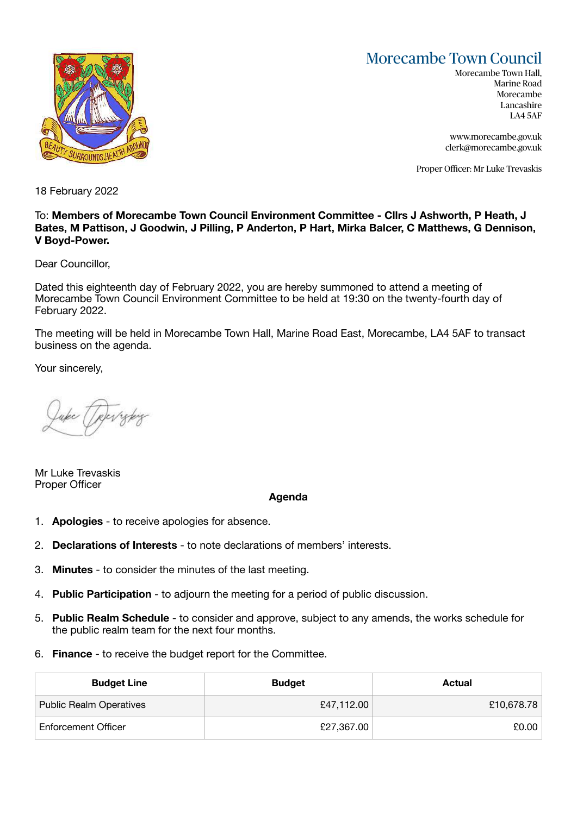## Morecambe Town Council



Morecambe Town Hall, Marine Road Morecambe Lancashire LA4 5AF

[www.morecambe.gov.uk](http://www.morecambe.gov.uk) [clerk@morecambe.gov.uk](mailto:clerk@morecambe.gov.uk)

Proper Officer: Mr Luke Trevaskis

18 February 2022

## To: **Members of Morecambe Town Council Environment Committee - Cllrs J Ashworth, P Heath, J Bates, M Pattison, J Goodwin, J Pilling, P Anderton, P Hart, Mirka Balcer, C Matthews, G Dennison, V Boyd-Power.**

Dear Councillor,

Dated this eighteenth day of February 2022, you are hereby summoned to attend a meeting of Morecambe Town Council Environment Committee to be held at 19:30 on the twenty-fourth day of February 2022.

The meeting will be held in Morecambe Town Hall, Marine Road East, Morecambe, LA4 5AF to transact business on the agenda.

Your sincerely,

Mr Luke Trevaskis Proper Officer

## **Agenda**

- 1. **Apologies** to receive apologies for absence.
- 2. **Declarations of Interests** to note declarations of members' interests.
- 3. **Minutes** to consider the minutes of the last meeting.
- 4. **Public Participation** to adjourn the meeting for a period of public discussion.
- 5. **Public Realm Schedule** to consider and approve, subject to any amends, the works schedule for the public realm team for the next four months.
- 6. **Finance** to receive the budget report for the Committee.

| <b>Budget Line</b>             | <b>Budget</b> | Actual     |
|--------------------------------|---------------|------------|
| <b>Public Realm Operatives</b> | £47,112.00    | £10,678.78 |
| <b>Enforcement Officer</b>     | £27,367.00    | £0.00      |